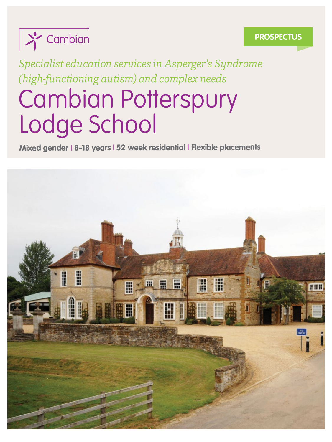

#### **PROSPECTUS**

*Specialist education services in Asperger's Syndrome (high-functioning autism) and complex needs*

## Cambian Potterspury Lodge School

**Mixed gender** <sup>I</sup> **8-18 years**<sup>I</sup> **<sup>52</sup> week residential** <sup>I</sup> **Flexible placements**

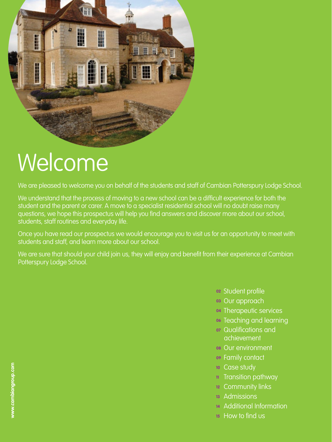

## Welcome

We are pleased to welcome you on behalf of the students and staff of Cambian Potterspury Lodge School.

We understand that the process of moving to a new school can be a difficult experience for both the student and the parent or carer. A move to a specialist residential school will no doubt raise many questions, we hope this prospectus will help you find answers and discover more about our school, students, staff routines and everyday life.

Once you have read our prospectus we would encourage you to visit us for an opportunity to meet with students and staff, and learn more about our school.

We are sure that should your child join us, they will enjoy and benefit from their experience at Cambian Potterspury Lodge School.

- **<sup>02</sup>** Student profile
- **<sup>03</sup>** Our approach
- **<sup>04</sup>** Therapeutic services
- **<sup>06</sup>** Teaching and learning
- **<sup>07</sup>** Qualifications and achievement
- **<sup>08</sup>** Our environment
- **<sup>09</sup>** Family contact
- **<sup>10</sup>** Case study
- **<sup>11</sup>** Transition pathway
- **<sup>12</sup>** Community links
- **<sup>13</sup>** Admissions
- **<sup>14</sup>** Additional Information
- **<sup>15</sup>** How to find us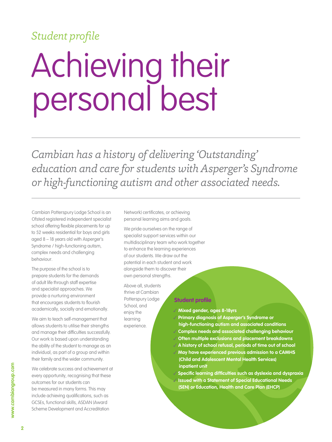### *Student profile*

## Achieving their personal best

*Cambian has a history of delivering 'Outstanding' education and care for students with Asperger's Syndrome or high-functioning autism and other associated needs.*

Cambian Potterspury Lodge School is an Ofsted registered independent specialist school offering flexible placements for up to 52 weeks residential for boys and girls aged 8 – 18 years old with Asperger's Syndrome / high-functioning autism, complex needs and challenging behaviour.

The purpose of the school is to prepare students for the demands of adult life through staff expertise and specialist approaches. We provide a nurturing environment that encourages students to flourish academically, socially and emotionally.

We aim to teach self-management that allows students to utilise their strengths and manage their difficulties successfully. Our work is based upon understanding the ability of the student to manage as an individual, as part of a group and within their family and the wider community.

We celebrate success and achievement at every opportunity, recognising that these outcomes for our students can be measured in many forms. This may include achieving qualifications, such as GCSEs, functional skills, ASDAN (Award Scheme Development and Accreditation

Network) certificates, or achieving personal learning aims and goals.

We pride ourselves on the range of specialist support services within our multidisciplinary team who work together to enhance the learning experiences of our students. We draw out the potential in each student and work alongside them to discover their own personal strengths.

Above all, students thrive at Cambian Potterspury Lodge School, and enjoy the learning experience.

#### **Student profile**

**Mixed gender, ages 8-18yrs**

 **Primary diagnosis of Asperger's Syndrome or high-functioning autism and associated conditions Complex needs and associated challenging behaviour Often multiple exclusions and placement breakdowns A history of school refusal, periods of time out of school May have experienced previous admission to a CAMHS (Child and Adolescent Mental Health Services) inpatient unit**

 **Specific learning difficulties such as dyslexia and dyspraxia Issued with a Statement of Special Educational Needs (SEN) or Education, Health and Care Plan (EHCP)**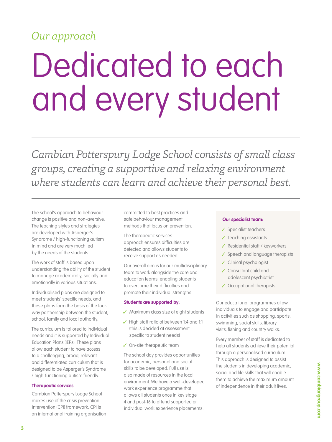## *Our approach*

# Dedicated to each and every student

*Cambian Potterspury Lodge School consists of small class groups, creating a supportive and relaxing environment where students can learn and achieve their personal best.*

The school's approach to behaviour change is positive and non-aversive. The teaching styles and strategies are developed with Asperger's Syndrome / high-functioning autism in mind and are very much led by the needs of the students.

The work of staff is based upon understanding the ability of the student to manage academically, socially and emotionally in various situations.

Individualised plans are designed to meet students' specific needs, and these plans form the basis of the fourway partnership between the student, school, family and local authority.

The curriculum is tailored to individual needs and it is supported by Individual Education Plans (IEPs). These plans allow each student to have access to a challenging, broad, relevant and differentiated curriculum that is designed to be Asperger's Syndrome / high-functioning autism friendly.

#### **Therapeutic services**

Cambian Potterspury Lodge School makes use of the crisis prevention intervention (CPI) framework. CPI is an international training organisation committed to best practices and safe behaviour management methods that focus on prevention.

The therapeutic services approach ensures difficulties are detected and allows students to receive support as needed.

Our overall aim is for our multidisciplinary team to work alongside the care and education teams, enabling students to overcome their difficulties and promote their individual strengths.

#### **Students are supported by:**

- ✔ Maximum class size of eight students
- $\checkmark$  High staff ratio of between 1:4 and 1:1 (this is decided at assessment specific to student needs)
- $\checkmark$  On-site therapeutic team

The school day provides opportunities for academic, personal and social skills to be developed. Full use is also made of resources in the local environment. We have a well-developed work experience programme that allows all students once in key stage 4 and post-16 to attend supported or individual work experience placements.

#### **Our specialist team:**

- $\checkmark$  Specialist teachers
- $\checkmark$  Teaching assistants
- $\checkmark$  Residential staff / keyworkers
- $\checkmark$  Speech and language therapists
- Clinical psychologist
- Consultant child and adolescent psychiatrist
- ✔ Occupational therapists

Our educational programmes allow individuals to engage and participate in activities such as shopping, sports, swimming, social skills, library visits, fishing and country walks.

Every member of staff is dedicated to help all students achieve their potential through a personalised curriculum. This approach is designed to assist the students in developing academic, social and life skills that will enable them to achieve the maximum amount of independence in their adult lives.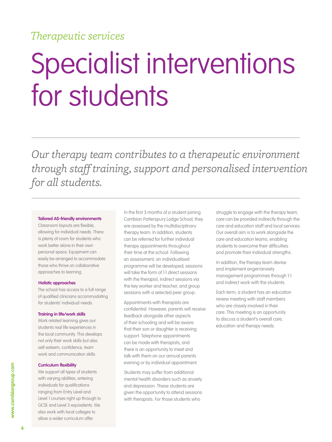### *Therapeutic services*

## Specialist interventions for students

*Our therapy team contributes to a therapeutic environment through staff training, support and personalised intervention for all students.*

#### **Tailored AS-friendly environments**

Classroom layouts are flexible, allowing for individual needs. There is plenty of room for students who work better alone in their own personal space. Equipment can easily be arranged to accommodate those who thrive on collaborative approaches to learning.

#### **Holistic approaches**

The school has access to a full range of qualified clinicians accommodating for students' individual needs.

#### **Training in life/work skills**

Work related learning gives our students real life experiences in the local community. This develops not only their work skills but also self-esteem, confidence, team work and communication skills.

#### **Curriculum flexibility**

We support all types of students with varying abilities, entering individuals for qualifications ranging from Entry Level and Level 1 courses right up through to GCSE and Level 3 equivalents. We also work with local colleges to allow a wider curriculum offer.

In the first 3 months of a student joining Cambian Potterspury Lodge School, they are assessed by the multidisciplinary therapy team. In addition, students can be referred for further individual therapy appointments throughout their time at the school. Following an assessment, an individualised programme will be developed; sessions will take the form of 1:1 direct sessions with the therapist, indirect sessions via the key worker and teacher, and group sessions with a selected peer group.

Appointments with therapists are confidential. However, parents will receive feedback alongside other aspects of their schooling and will be aware that their son or daughter is receiving support. Telephone appointments can be made with therapists, and there is an opportunity to meet and talk with them on our annual parents evening or by individual appointment.

Students may suffer from additional mental health disorders such as anxiety and depression. These students are given the opportunity to attend sessions with therapists. For those students who

struggle to engage with the therapy team, care can be provided indirectly through the care and education staff and local services. Our overall aim is to work alongside the care and education teams, enabling students to overcome their difficulties and promote their individual strengths.

In addition, the therapy team devise and implement anger/anxiety management programmes through 1:1 and indirect work with the students.

Each term, a student has an education review meeting with staff members who are closely involved in their care. This meeting is an opportunity to discuss a student's overall care, education and therapy needs.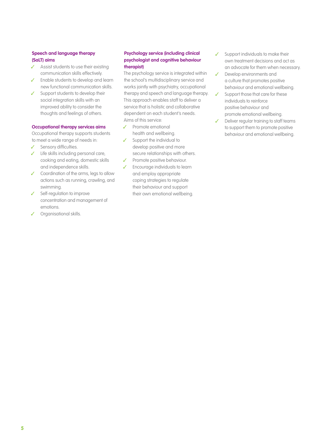#### **Speech and language therapy (SaLT) aims**

- $\checkmark$  Assist students to use their existing communication skills effectively.
- $\checkmark$  Enable students to develop and learn new functional communication skills.
- $\checkmark$  Support students to develop their social integration skills with an improved ability to consider the thoughts and feelings of others.

#### **Occupational therapy services aims**

Occupational therapy supports students to meet a wide range of needs in:

- Sensory difficulties.
- $\checkmark$  Life skills including personal care, cooking and eating, domestic skills and independence skills.
- Coordination of the arms, legs to allow actions such as running, crawling, and swimming.
- $\checkmark$  Self-regulation to improve concentration and management of emotions.
- Organisational skills.

#### **Psychology service (including clinical psychologist and cognitive behaviour therapist)**

The psychology service is integrated within the school's multidisciplinary service and works jointly with psychiatry, occupational therapy and speech and language therapy. This approach enables staff to deliver a service that is holistic and collaborative dependent on each student's needs. Aims of this service:

- Promote emotional health and wellbeing.
- $\checkmark$  Support the individual to develop positive and more secure relationships with others.
- **V** Promote positive behaviour.
- Encourage individuals to learn and employ appropriate coping strategies to regulate their behaviour and support their own emotional wellbeing.
- Support individuals to make their own treatment decisions and act as an advocate for them when necessary.
- Develop environments and a culture that promotes positive behaviour and emotional wellbeing.
- Support those that care for these individuals to reinforce positive behaviour and promote emotional wellbeing.
- Deliver regular training to staff teams to support them to promote positive behaviour and emotional wellbeing.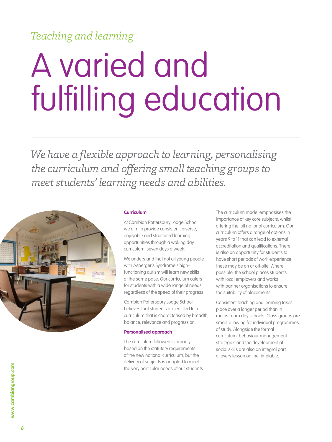## *Teaching and learning*

# A varied and fulfilling education

*We have a flexible approach to learning, personalising the curriculum and offering small teaching groups to meet students' learning needs and abilities.*



#### **Curriculum**

At Cambian Potterspury Lodge School we aim to provide consistent, diverse, enjoyable and structured learning opportunities through a waking day curriculum, seven days a week.

We understand that not all young people with Asperger's Syndrome / highfunctioning autism will learn new skills at the same pace. Our curriculum caters for students with a wide range of needs regardless of the speed of their progress.

Cambian Potterspury Lodge School believes that students are entitled to a curriculum that is characterised by breadth, balance, relevance and progression.

#### **Personalised approach**

The curriculum followed is broadly based on the statutory requirements of the new national curriculum, but the delivery of subjects is adapted to meet the very particular needs of our students. The curriculum model emphasises the importance of key core subjects, whilst offering the full national curriculum. Our curriculum offers a range of options in years 9 to 11 that can lead to external accreditation and qualifications. There is also an opportunity for students to have short periods of work experience; these may be on or off-site. Where possible, the school places students with local employers and works with partner organisations to ensure the suitability of placements.

Consistent teaching and learning takes place over a longer period than in mainstream day schools. Class groups are small, allowing for individual programmes of study. Alongside the formal curriculum, behaviour management strategies and the development of social skills are also an integral part of every lesson on the timetable.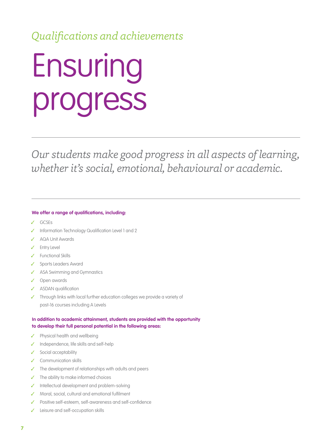### *Qualifications and achievements*

## Ensuring progress

*Our students make good progress in all aspects of learning, whether it's social, emotional, behavioural or academic.*

#### **We offer a range of qualifications, including:**

- GCSEs
- Information Technology Qualification Level 1 and 2
- AQA Unit Awards
- Entry Level
- Functional Skills
- Sports Leaders Award
- ASA Swimming and Gymnastics
- Open awards
- ASDAN qualification
- Through links with local further education colleges we provide a variety of post-16 courses including A Levels

#### **In addition to academic attainment, students are provided with the opportunity to develop their full personal potential in the following areas:**

- $\checkmark$  Physical health and wellbeing
- Independence, life skills and self-help
- $\checkmark$  Social acceptability
- Communication skills
- $\checkmark$  The development of relationships with adults and peers
- The ability to make informed choices
- Intellectual development and problem-solving
- ◆ Moral, social, cultural and emotional fulfilment
- Positive self-esteem, self-awareness and self-confidence
- Leisure and self-occupation skills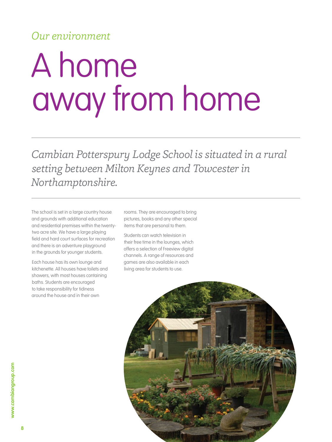### *Our environment*

## A home away from home

*Cambian Potterspury Lodge School is situated in a rural setting between Milton Keynes and Towcester in Northamptonshire.*

The school is set in a large country house and grounds with additional education and residential premises within the twentytwo acre site. We have a large playing field and hard court surfaces for recreation and there is an adventure playground in the grounds for younger students.

Each house has its own lounge and kitchenette. All houses have toilets and showers, with most houses containing baths. Students are encouraged to take responsibility for tidiness around the house and in their own

rooms. They are encouraged to bring pictures, books and any other special items that are personal to them.

Students can watch television in their free time in the lounges, which offers a selection of Freeview digital channels. A range of resources and games are also available in each living area for students to use.

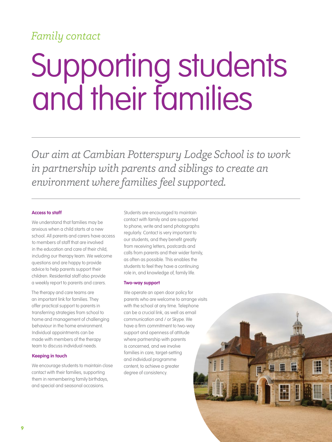### *Family contact*

## Supporting students and their families

*Our aim at Cambian Potterspury Lodge School is to work in partnership with parents and siblings to create an environment where families feel supported.*

#### **Access to staff**

We understand that families may be anxious when a child starts at a new school. All parents and carers have access to members of staff that are involved in the education and care of their child, including our therapy team. We welcome questions and are happy to provide advice to help parents support their children. Residential staff also provide a weekly report to parents and carers.

The therapy and care teams are an important link for families. They offer practical support to parents in transferring strategies from school to home and management of challenging behaviour in the home environment. Individual appointments can be made with members of the therapy team to discuss individual needs.

#### **Keeping in touch**

We encourage students to maintain close contact with their families, supporting them in remembering family birthdays, and special and seasonal occasions.

Students are encouraged to maintain contact with family and are supported to phone, write and send photographs regularly. Contact is very important to our students, and they benefit greatly from receiving letters, postcards and calls from parents and their wider family, as often as possible. This enables the students to feel they have a continuing role in, and knowledge of, family life.

#### **Two-way support**

We operate an open door policy for parents who are welcome to arrange visits with the school at any time. Telephone can be a crucial link, as well as email communication and / or Skype. We have a firm commitment to two-way support and openness of attitude where partnership with parents is concerned, and we involve families in care, target-setting and individual programme content, to achieve a greater degree of consistency.

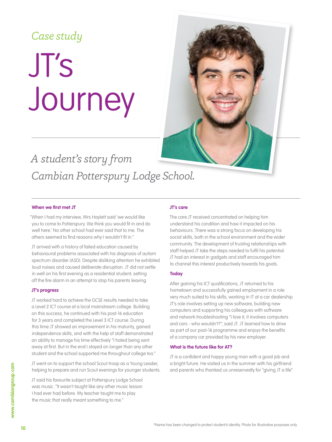### *Case study*

## JT's Journey

## *A student's story from Cambian Potterspury Lodge School.*

#### **When we first met JT**

"When I had my interview, Mrs Haylett said 'we would like you to come to Potterspury. We think you would fit in and do well here.' No other school had ever said that to me. The others seemed to find reasons why I wouldn't fit in."

JT arrived with a history of failed education caused by behavioural problems associated with his diagnosis of autism spectrum disorder (ASD). Despite disliking attention he exhibited loud noises and caused deliberate disruption. JT did not settle in well on his first evening as a residential student; setting off the fire alarm in an attempt to stop his parents leaving.

#### **JT's progress**

JT worked hard to achieve the GCSE results needed to take a Level 2 ICT course at a local mainstream college. Building on this success, he continued with his post-16 education for 3 years and completed the Level 3 ICT course. During this time JT showed an improvement in his maturity, gained independence skills, and with the help of staff demonstrated an ability to manage his time effectively "I hated being sent away at first. But in the end I stayed on longer than any other student and the school supported me throughout college too."

JT went on to support the school Scout troop as a Young Leader, helping to prepare and run Scout evenings for younger students.

JT said his favourite subject at Potterspury Lodge School was music. "It wasn't taught like any other music lesson I had ever had before. My teacher taught me to play the music that really meant something to me."

#### **JT's care**

The care JT received concentrated on helping him understand his condition and how it impacted on his behaviours. There was a strong focus on developing his social skills, both in the school environment and the wider community. The development of trusting relationships with staff helped JT take the steps needed to fulfil his potential. JT had an interest in gadgets and staff encouraged him to channel this interest productively towards his goals.

#### **Today**

After gaining his ICT qualifications, JT returned to his hometown and successfully gained employment in a role very much suited to his skills, working in IT at a car dealership. JT's role involves setting up new software, building new computers and supporting his colleagues with software and network troubleshooting "I love it, it involves computers and cars - who wouldn't?", said JT. JT learned how to drive as part of our post-16 programme and enjoys the benefits of a company car provided by his new employer.

#### **What is the future like for AT?**

JT is a confident and happy young man with a good job and a bright future. He visited us in the summer with his girlfriend and parents who thanked us unreservedly for "giving JT a life".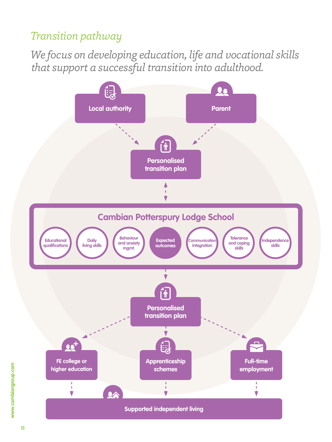### *Transition pathway*

*We focus on developing education, life and vocational skills that support a successful transition into adulthood.*

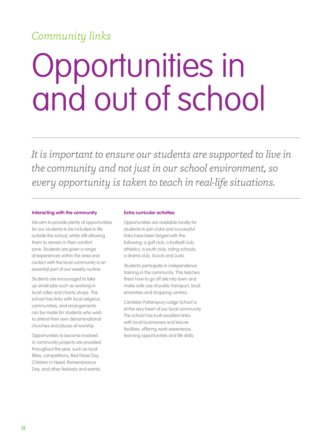### *Community links*

## Opportunities in and out of school

*It is important to ensure our students are supported to live in the community and not just in our school environment, so every opportunity is taken to teach in real-life situations.*

#### **Interacting with the community**

We aim to provide plenty of opportunities for our students to be included in life outside the school, while still allowing them to remain in their comfort zone. Students are given a range of experiences within the area and contact with the local community is an essential part of our weekly routine.

Students are encouraged to take up small jobs such as working in local cafes and charity shops. The school has links with local religious communities, and arrangements can be made for students who wish to attend their own denominational churches and places of worship.

Opportunities to become involved in community projects are provided throughout the year, such as local fêtes, competitions, Red Nose Day, Children in Need, Remembrance Day, and other festivals and events.

#### **Extra curricular activities**

Opportunities are available locally for students to join clubs and successful links have been forged with the following: a golf club, a football club, athletics, a youth club, riding schools, a drama club, Scouts and Judo.

Students participate in independence training in the community. This teaches them how to go off site into town and make safe use of public transport, local amenities and shopping centres.

Cambian Potterspury Lodge School is at the very heart of our local community. The school has built excellent links with local businesses and leisure facilities, offering work experience, learning opportunities and life skills.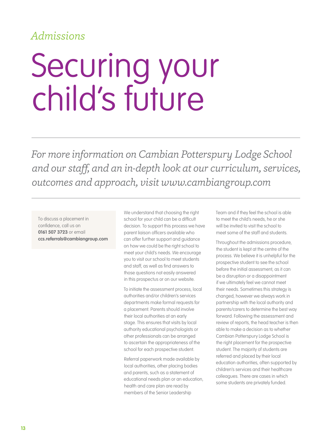### *Admissions*

## Securing your child's future

*For more information on Cambian Potterspury Lodge School and our staff, and an in-depth look at our curriculum, services, outcomes and approach, visit www.cambiangroup.com*

To discuss a placement in confidence, call us on **0161 507 3723** or email **ccs.referrals@cambiangroup.com**  We understand that choosing the right school for your child can be a difficult decision. To support this process we have parent liaison officers available who can offer further support and guidance on how we could be the right school to meet your child's needs. We encourage you to visit our school to meet students and staff, as well as find answers to those questions not easily answered in this prospectus or on our website.

To initiate the assessment process, local authorities and/or children's services departments make formal requests for a placement. Parents should involve their local authorities at an early stage. This ensures that visits by local authority educational psychologists or other professionals can be arranged to ascertain the appropriateness of the school for each prospective student.

Referral paperwork made available by local authorities, other placing bodies and parents, such as a statement of educational needs plan or an education, health and care plan are read by members of the Senior Leadership

Team and if they feel the school is able to meet the child's needs, he or she will be invited to visit the school to meet some of the staff and students.

Throughout the admissions procedure, the student is kept at the centre of the process. We believe it is unhelpful for the prospective student to see the school before the initial assessment, as it can be a disruption or a disappointment if we ultimately feel we cannot meet their needs. Sometimes this strategy is changed, however we always work in partnership with the local authority and parents/carers to determine the best way forward. Following the assessment and review of reports, the head teacher is then able to make a decision as to whether Cambian Potterspury Lodge School is the right placement for the prospective student. The majority of students are referred and placed by their local education authorities, often supported by children's services and their healthcare colleagues. There are cases in which some students are privately funded.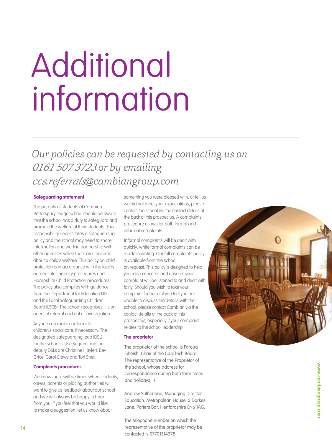## Additional information

### *Our policies can be requested by contacting us on 0161 507 3723 or by emailing ccs.referrals@cambiangroup.com*

#### **Safeguarding statement**

The parents of students at Cambian Potterspury Lodge School should be aware that the school has a duty to safeguard and promote the welfare of their students. This responsibility necessitates a safeguarding policy and the school may need to share information and work in partnership with other agencies when there are concerns about a child's welfare. This policy on child protection is in accordance with the locally agreed inter-agency procedures and Hampshire Child Protection procedures. The policy also complies with guidance from the Department for Education DfE and the Local Safeguarding Children Board (LSCB). The school recognises it is an agent of referral and not of investigation.

Anyone can make a referral to children's social care, if necessary. The designated safeguarding lead (DSL) for the school is Lisé Sugden and the deputy DSLs are Christine Haylett, Bev Grice, Carol Clews and Tori Snell.

#### **Complaints procedures**

We know there will be times when students, carers, parents or placing authorities will want to give us feedback about our school and we will always be happy to hear from you. If you feel that you would like to make a suggestion, let us know about

something you were pleased with, or tell us we did not meet your expectations, please contact the school via the contact details at the back of this prospectus. A complaints procedure allows for both formal and informal complaints.

Informal complaints will be dealt with quickly, while formal complaints can be made in writing. Our full complaints policy is available from the school on request. This policy is designed to help you raise concerns and ensures your complaint will be listened to and dealt with fairly. Should you wish to take your complaint further or if you feel you are unable to discuss the details with the school, please contact Cambian via the contact details at the back of this prospectus, especially if your complaint relates to the school leadership.

#### **The proprietor**

The proprietor of the school is Farouq Sheikh, Chair of the CareTech Board. The representative of the Proprietor of the school, whose address for correspondence during both term times and holidays, is:

Andrew Sutherland, Managing Director Education, Metropolitan House, 3 Darkes Lane, Potters Bar, Hertfordshire EN6 1AG.

The telephone number on which the representative of the proprietor may be contacted is 07701314378.